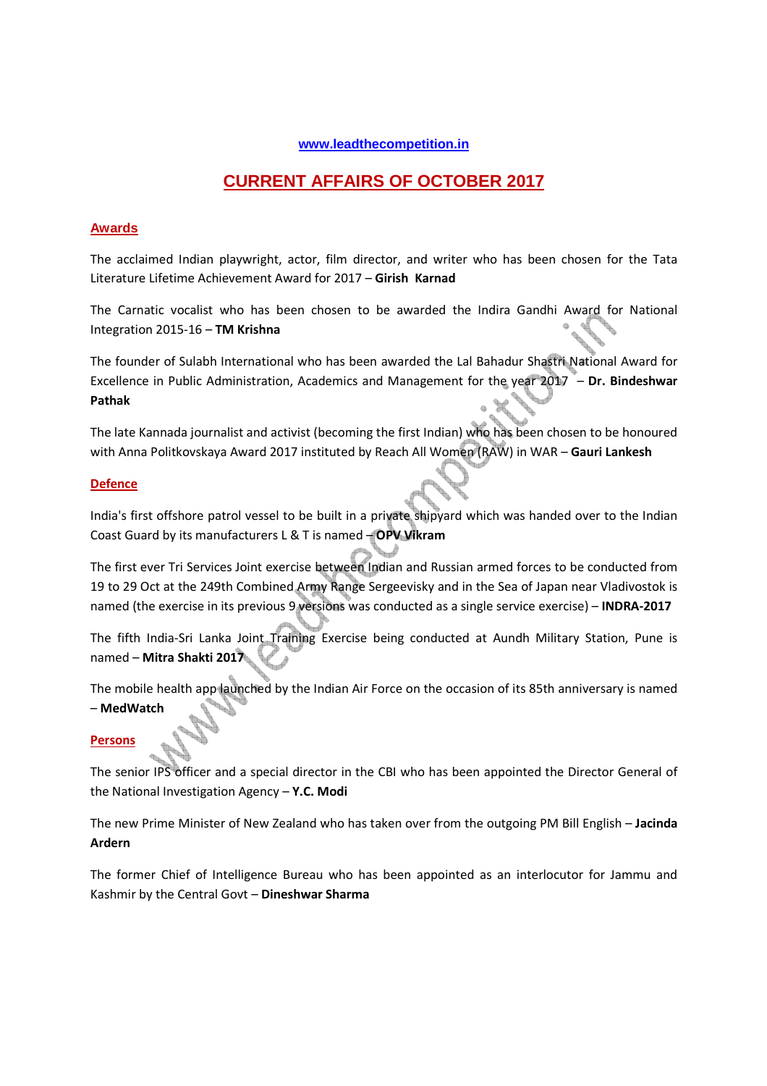## **www.leadthecompetition.in**

# **CURRENT AFFAIRS OF OCTOBER 2017**

## **Awards**

The acclaimed Indian playwright, actor, film director, and writer who has been chosen for the Tata Literature Lifetime Achievement Award for 2017 – **Girish Karnad**

The Carnatic vocalist who has been chosen to be awarded the Indira Gandhi Award for National Integration 2015-16 – **TM Krishna**

The founder of Sulabh International who has been awarded the Lal Bahadur Shastri National Award for Excellence in Public Administration, Academics and Management for the year 2017 – **Dr. Bindeshwar Pathak**

The late Kannada journalist and activist (becoming the first Indian) who has been chosen to be honoured with Anna Politkovskaya Award 2017 instituted by Reach All Women (RAW) in WAR – **Gauri Lankesh**

## **Defence**

India's first offshore patrol vessel to be built in a private shipyard which was handed over to the Indian Coast Guard by its manufacturers L & T is named – **OPV Vikram** 

The first ever Tri Services Joint exercise between Indian and Russian armed forces to be conducted from 19 to 29 Oct at the 249th Combined Army Range Sergeevisky and in the Sea of Japan near Vladivostok is named (the exercise in its previous 9 versions was conducted as a single service exercise) – **INDRA-2017** 

The fifth India-Sri Lanka Joint Training Exercise being conducted at Aundh Military Station, Pune is named – **Mitra Shakti 2017**

The mobile health app launched by the Indian Air Force on the occasion of its 85th anniversary is named – **MedWatch**

## **Persons**

The senior IPS officer and a special director in the CBI who has been appointed the Director General of the National Investigation Agency – **Y.C. Modi**

The new Prime Minister of New Zealand who has taken over from the outgoing PM Bill English – **Jacinda Ardern**

The former Chief of Intelligence Bureau who has been appointed as an interlocutor for Jammu and Kashmir by the Central Govt – **Dineshwar Sharma**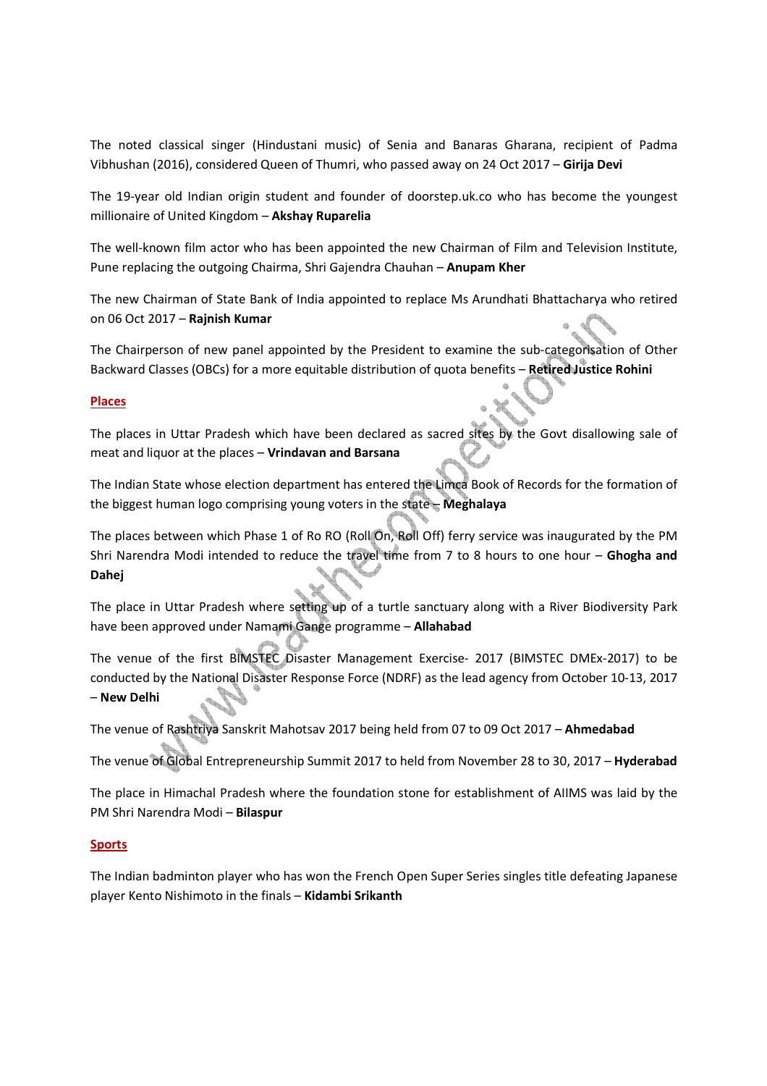The noted classical singer (Hindustani music) of Senia and Banaras Gharana, recipient of Padma Vibhushan (2016), considered Queen of Thumri, who passed away on 24 Oct 2017 – **Girija Devi**

The 19-year old Indian origin student and founder of doorstep.uk.co who has become the youngest millionaire of United Kingdom – **Akshay Ruparelia**

The well-known film actor who has been appointed the new Chairman of Film and Television Institute, Pune replacing the outgoing Chairma, Shri Gajendra Chauhan – **Anupam Kher**

The new Chairman of State Bank of India appointed to replace Ms Arundhati Bhattacharya who retired on 06 Oct 2017 – **Rajnish Kumar** 

The Chairperson of new panel appointed by the President to examine the sub-categorisation of Other Backward Classes (OBCs) for a more equitable distribution of quota benefits – **Retired Justice Rohini**

## **Places**

The places in Uttar Pradesh which have been declared as sacred sites by the Govt disallowing sale of meat and liquor at the places – **Vrindavan and Barsana**

The Indian State whose election department has entered the Limca Book of Records for the formation of the biggest human logo comprising young voters in the state – **Meghalaya**

The places between which Phase 1 of Ro RO (Roll On, Roll Off) ferry service was inaugurated by the PM Shri Narendra Modi intended to reduce the travel time from 7 to 8 hours to one hour – **Ghogha and Dahej**

The place in Uttar Pradesh where setting up of a turtle sanctuary along with a River Biodiversity Park have been approved under Namami Gange programme – **Allahabad**

The venue of the first BIMSTEC Disaster Management Exercise- 2017 (BIMSTEC DMEx-2017) to be conducted by the National Disaster Response Force (NDRF) as the lead agency from October 10-13, 2017 – **New Delhi**

The venue of Rashtriya Sanskrit Mahotsav 2017 being held from 07 to 09 Oct 2017 – **Ahmedabad**

The venue of Global Entrepreneurship Summit 2017 to held from November 28 to 30, 2017 – **Hyderabad**

The place in Himachal Pradesh where the foundation stone for establishment of AIIMS was laid by the PM Shri Narendra Modi – **Bilaspur**

## **Sports**

The Indian badminton player who has won the French Open Super Series singles title defeating Japanese player Kento Nishimoto in the finals – **Kidambi Srikanth**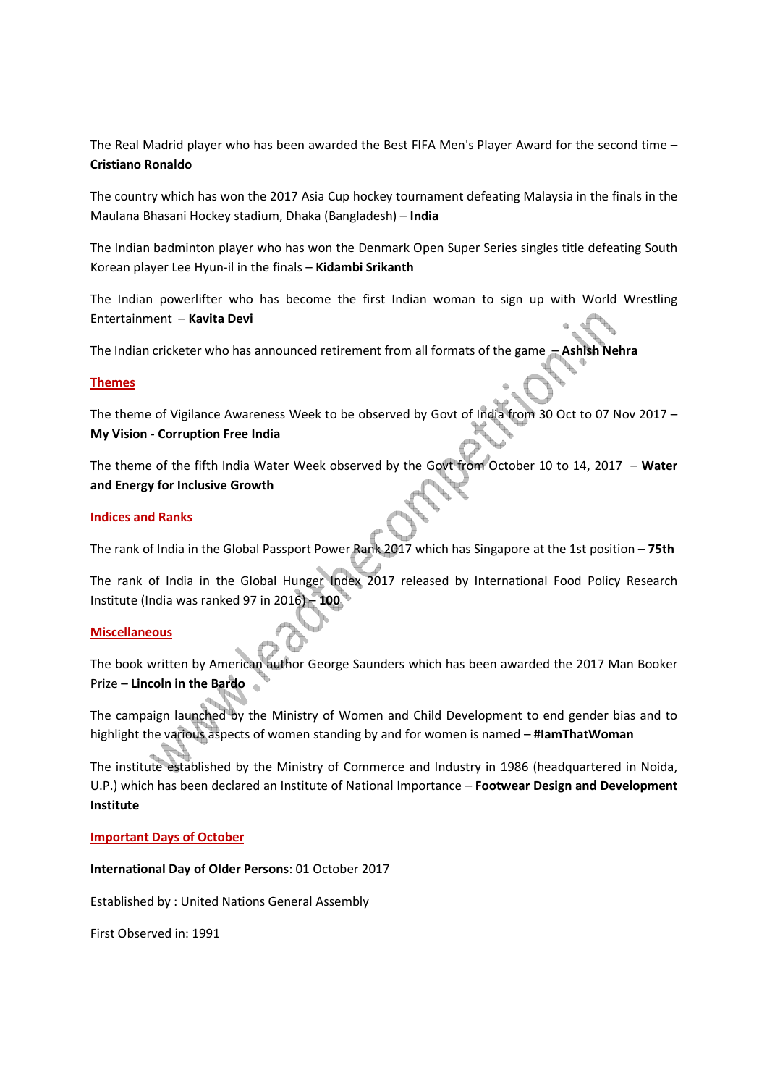The Real Madrid player who has been awarded the Best FIFA Men's Player Award for the second time – **Cristiano Ronaldo**

The country which has won the 2017 Asia Cup hockey tournament defeating Malaysia in the finals in the Maulana Bhasani Hockey stadium, Dhaka (Bangladesh) – **India**

The Indian badminton player who has won the Denmark Open Super Series singles title defeating South Korean player Lee Hyun-il in the finals – **Kidambi Srikanth**

The Indian powerlifter who has become the first Indian woman to sign up with World Wrestling Entertainment – **Kavita Devi**

The Indian cricketer who has announced retirement from all formats of the game – **Ashish Nehra**

## **Themes**

The theme of Vigilance Awareness Week to be observed by Govt of India from 30 Oct to 07 Nov 2017 – **My Vision - Corruption Free India**

The theme of the fifth India Water Week observed by the Govt from October 10 to 14, 2017 – **Water and Energy for Inclusive Growth**

#### **Indices and Ranks**

The rank of India in the Global Passport Power Rank 2017 which has Singapore at the 1st position – **75th**

The rank of India in the Global Hunger Index 2017 released by International Food Policy Research Institute (India was ranked 97 in 2016) – **100**

## **Miscellaneous**

The book written by American author George Saunders which has been awarded the 2017 Man Booker Prize – **Lincoln in the Bardo** 

The campaign launched by the Ministry of Women and Child Development to end gender bias and to highlight the various aspects of women standing by and for women is named – **#IamThatWoman**

The institute established by the Ministry of Commerce and Industry in 1986 (headquartered in Noida, U.P.) which has been declared an Institute of National Importance – **Footwear Design and Development Institute** 

#### **Important Days of October**

#### **International Day of Older Persons**: 01 October 2017

Established by : United Nations General Assembly

First Observed in: 1991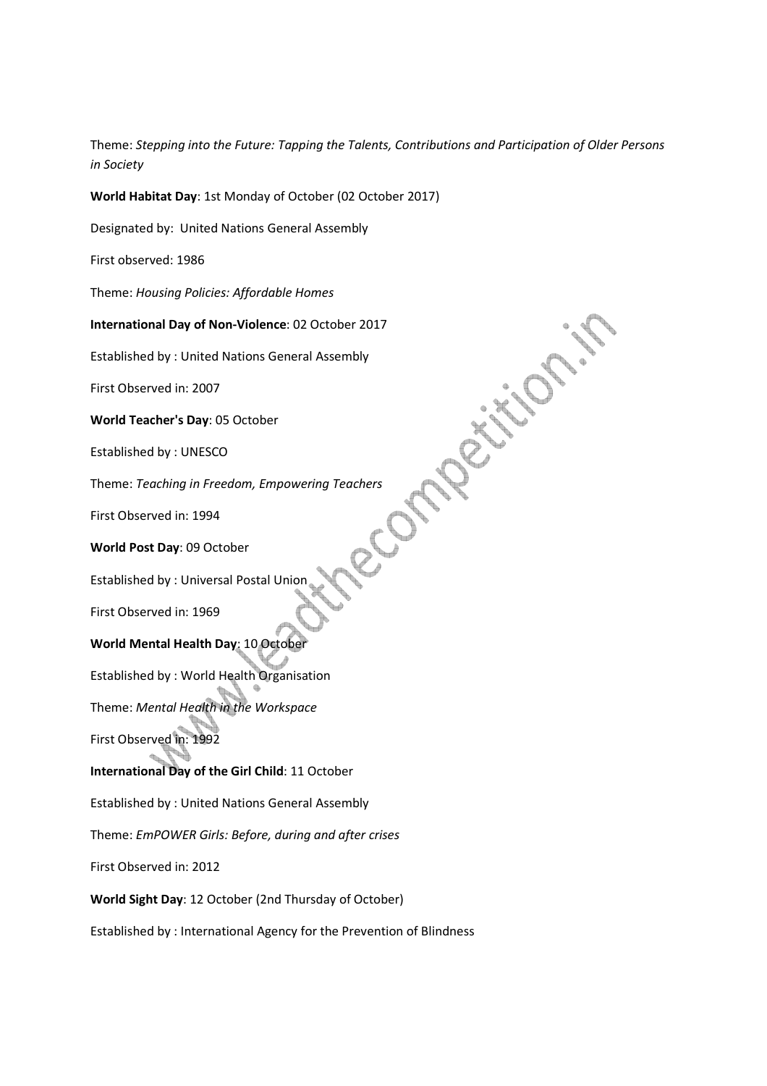Theme: *Stepping into the Future: Tapping the Talents, Contributions and Participation of Older Persons in Society*

 $\circ \zeta'$ 

**World Habitat Day**: 1st Monday of October (02 October 2017)

Designated by: United Nations General Assembly

First observed: 1986

Theme: *Housing Policies: Affordable Homes*

**International Day of Non-Violence**: 02 October 2017

Established by : United Nations General Assembly

First Observed in: 2007

**World Teacher's Day**: 05 October

Established by : UNESCO

Theme: *Teaching in Freedom, Empowering Teachers*

First Observed in: 1994

**World Post Day**: 09 October

Established by : Universal Postal Union

First Observed in: 1969

**World Mental Health Day**: 10 October

Established by : World Health Organisation

Theme: *Mental Health in the Workspace*

First Observed in: 1992

**International Day of the Girl Child**: 11 October

Established by : United Nations General Assembly

Theme: *EmPOWER Girls: Before, during and after crises*

First Observed in: 2012

**World Sight Day**: 12 October (2nd Thursday of October)

Established by : International Agency for the Prevention of Blindness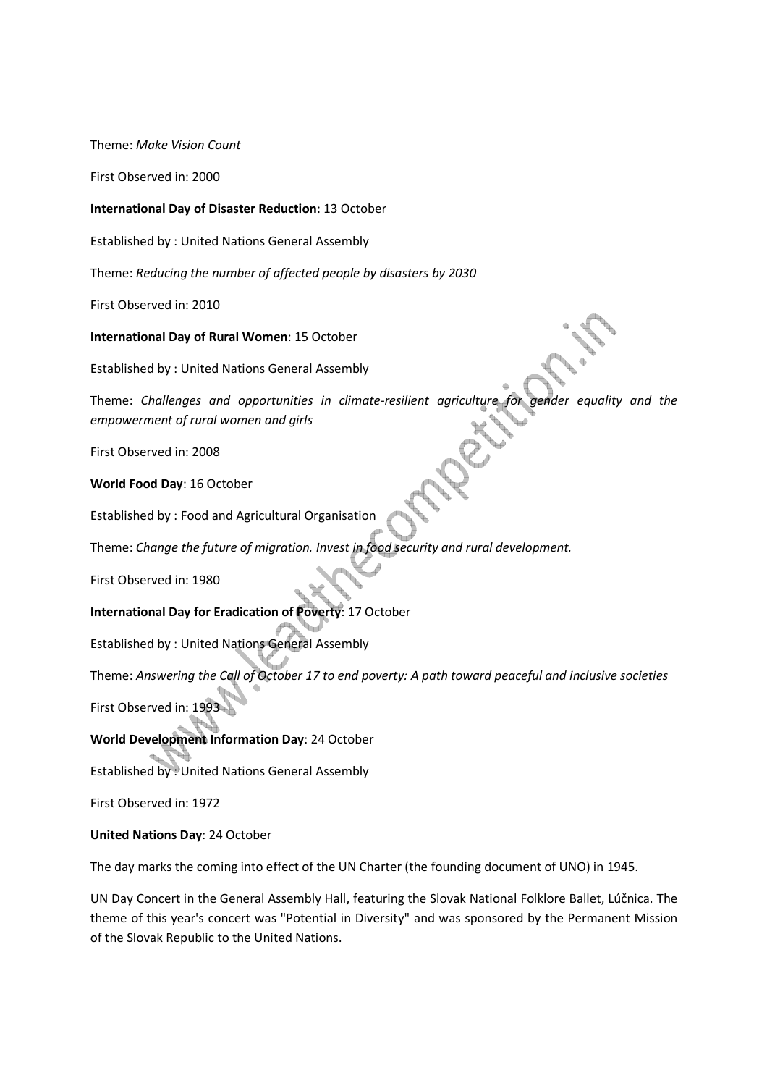Theme: *Make Vision Count* 

First Observed in: 2000

**International Day of Disaster Reduction**: 13 October

Established by : United Nations General Assembly

Theme: *Reducing the number of affected people by disasters by 2030*

First Observed in: 2010

**International Day of Rural Women**: 15 October

Established by : United Nations General Assembly

Theme: *Challenges and opportunities in climate-resilient agriculture for gender equality and the empowerment of rural women and girls*

First Observed in: 2008

**World Food Day**: 16 October

Established by : Food and Agricultural Organisation

Theme: *Change the future of migration. Invest in food security and rural development.*

First Observed in: 1980

**International Day for Eradication of Poverty**: 17 October

Established by : United Nations General Assembly

Theme: *Answering the Call of October 17 to end poverty: A path toward peaceful and inclusive societies*

First Observed in: 1993

**World Development Information Day**: 24 October

Established by : United Nations General Assembly

First Observed in: 1972

**United Nations Day**: 24 October

The day marks the coming into effect of the UN Charter (the founding document of UNO) in 1945.

UN Day Concert in the General Assembly Hall, featuring the Slovak National Folklore Ballet, Lúčnica. The theme of this year's concert was "Potential in Diversity" and was sponsored by the Permanent Mission of the Slovak Republic to the United Nations.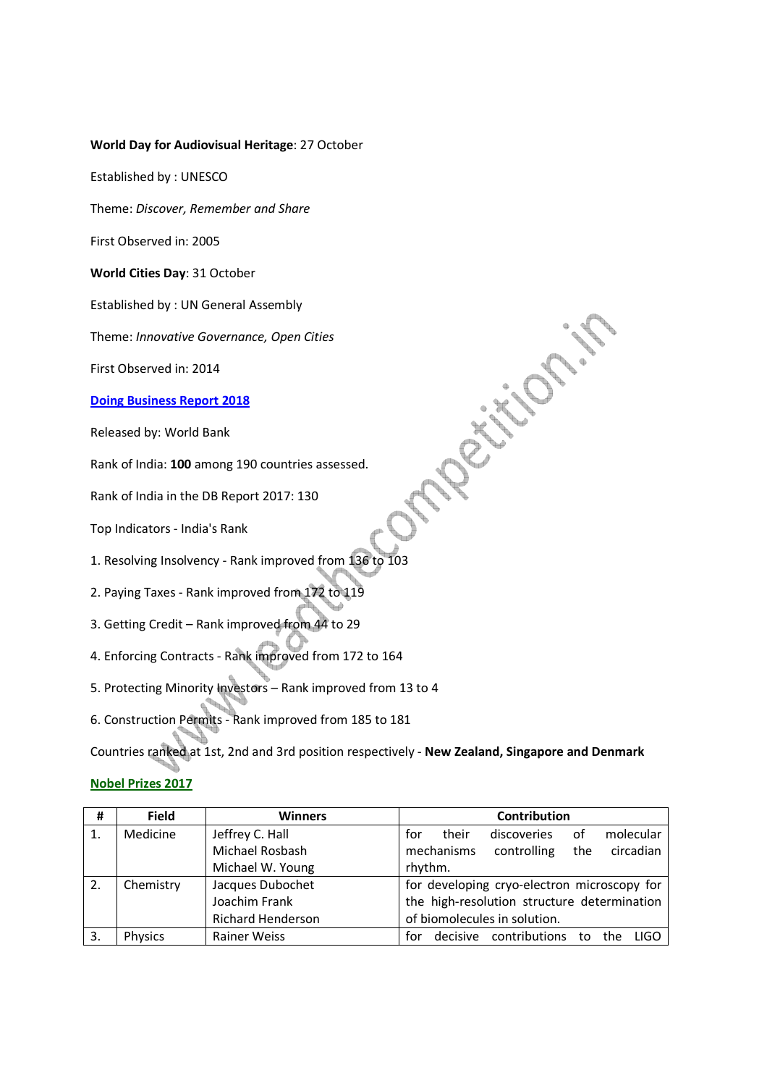#### **World Day for Audiovisual Heritage**: 27 October

Established by : UNESCO

Theme: *Discover, Remember and Share*

First Observed in: 2005

**World Cities Day**: 31 October

Established by : UN General Assembly

Theme: *Innovative Governance, Open Cities* 

First Observed in: 2014

#### **Doing Business Report 2018**

Released by: World Bank

Rank of India: **100** among 190 countries assessed.

Rank of India in the DB Report 2017: 130

Top Indicators - India's Rank

1. Resolving Insolvency - Rank improved from 136 to 103

- 2. Paying Taxes Rank improved from 172 to 119
- 3. Getting Credit Rank improved from 44 to 29
- 4. Enforcing Contracts Rank improved from 172 to 164
- 5. Protecting Minority Investors Rank improved from 13 to 4
- 6. Construction Permits Rank improved from 185 to 181

Countries ranked at 1st, 2nd and 3rd position respectively - **New Zealand, Singapore and Denmark**

## **Nobel Prizes 2017**

| #  | <b>Field</b>   | <b>Winners</b>           | Contribution                                          |
|----|----------------|--------------------------|-------------------------------------------------------|
|    | Medicine       | Jeffrey C. Hall          | molecular<br>οf<br>their<br>for<br>discoveries        |
|    |                | Michael Rosbash          | mechanisms<br>the circadian<br>controlling            |
|    |                | Michael W. Young         | rhythm.                                               |
| 2. | Chemistry      | Jacques Dubochet         | for developing cryo-electron microscopy for           |
|    |                | Joachim Frank            | the high-resolution structure determination           |
|    |                | <b>Richard Henderson</b> | of biomolecules in solution.                          |
| 3. | <b>Physics</b> | <b>Rainer Weiss</b>      | contributions<br>decisive<br>LIGO<br>for<br>to<br>the |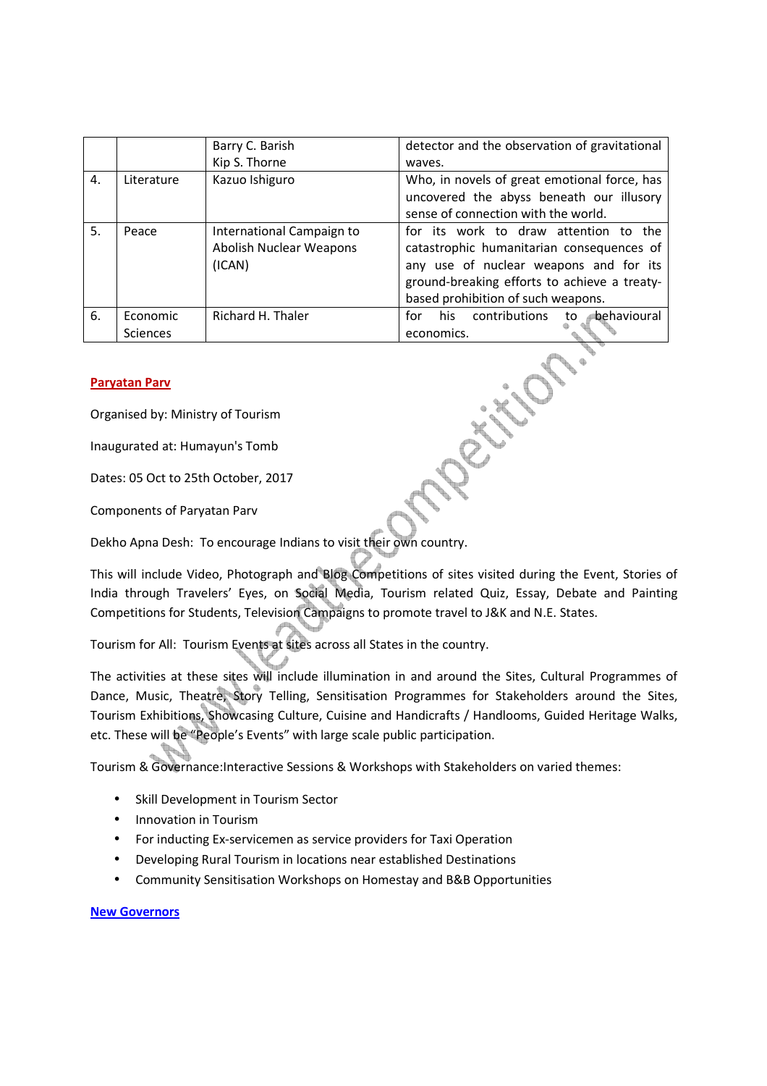|    |                      | Barry C. Barish                                                | detector and the observation of gravitational                                                                                                                                                                      |
|----|----------------------|----------------------------------------------------------------|--------------------------------------------------------------------------------------------------------------------------------------------------------------------------------------------------------------------|
|    |                      | Kip S. Thorne                                                  | waves.                                                                                                                                                                                                             |
| 4. | Literature           | Kazuo Ishiguro                                                 | Who, in novels of great emotional force, has<br>uncovered the abyss beneath our illusory<br>sense of connection with the world.                                                                                    |
| 5. | Peace                | International Campaign to<br>Abolish Nuclear Weapons<br>(ICAN) | for its work to draw attention to the<br>catastrophic humanitarian consequences of<br>any use of nuclear weapons and for its<br>ground-breaking efforts to achieve a treaty-<br>based prohibition of such weapons. |
| 6. | Economic<br>Sciences | Richard H. Thaler                                              | contributions<br>behavioural<br>his.<br>for<br>to<br>economics.                                                                                                                                                    |

## **Paryatan Parv**

Organised by: Ministry of Tourism

Inaugurated at: Humayun's Tomb

Dates: 05 Oct to 25th October, 2017

Components of Paryatan Parv

Dekho Apna Desh: To encourage Indians to visit their own country.

This will include Video, Photograph and Blog Competitions of sites visited during the Event, Stories of India through Travelers' Eyes, on Social Media, Tourism related Quiz, Essay, Debate and Painting Competitions for Students, Television Campaigns to promote travel to J&K and N.E. States.

Tourism for All: Tourism Events at sites across all States in the country.

The activities at these sites will include illumination in and around the Sites, Cultural Programmes of Dance, Music, Theatre, Story Telling, Sensitisation Programmes for Stakeholders around the Sites, Tourism Exhibitions, Showcasing Culture, Cuisine and Handicrafts / Handlooms, Guided Heritage Walks, etc. These will be "People's Events" with large scale public participation.

Tourism & Governance:Interactive Sessions & Workshops with Stakeholders on varied themes:

- Skill Development in Tourism Sector
- Innovation in Tourism
- For inducting Ex-servicemen as service providers for Taxi Operation
- Developing Rural Tourism in locations near established Destinations
- Community Sensitisation Workshops on Homestay and B&B Opportunities

## **New Governors**